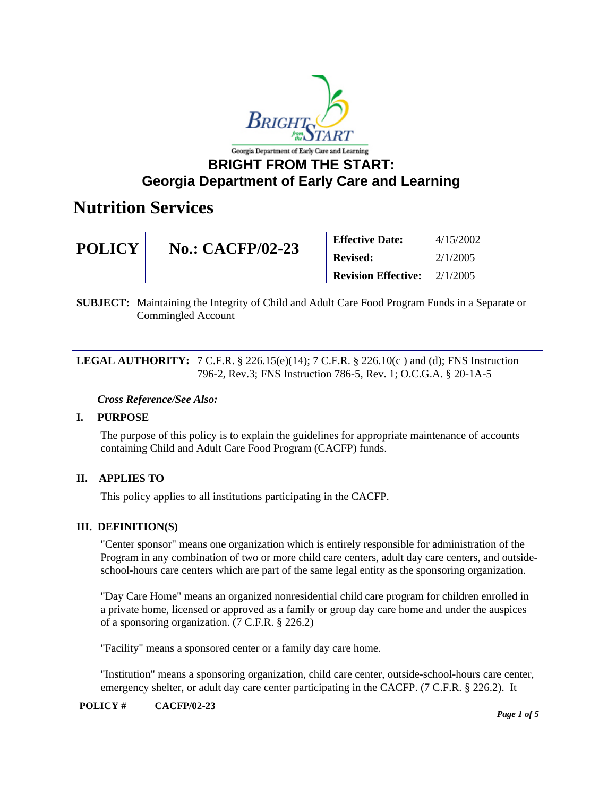

## **BRIGHT FROM THE START: Georgia Department of Early Care and Learning**

## **Nutrition Services**

| <b>POLICY</b> | <b>No.: CACFP/02-23</b> | <b>Effective Date:</b>     | 4/15/2002 |
|---------------|-------------------------|----------------------------|-----------|
|               |                         | <b>Revised:</b>            | 2/1/2005  |
|               |                         | <b>Revision Effective:</b> | 2/1/2005  |

**SUBJECT:** Maintaining the Integrity of Child and Adult Care Food Program Funds in a Separate or Commingled Account

**LEGAL AUTHORITY:** 7 C.F.R. § 226.15(e)(14); 7 C.F.R. § 226.10(c) and (d); FNS Instruction 796-2, Rev.3; FNS Instruction 786-5, Rev. 1; O.C.G.A. § 20-1A-5

#### *Cross Reference/See Also:*

### **I. PURPOSE**

The purpose of this policy is to explain the guidelines for appropriate maintenance of accounts containing Child and Adult Care Food Program (CACFP) funds.

## **II. APPLIES TO**

This policy applies to all institutions participating in the CACFP.

#### **III. DEFINITION(S)**

"Center sponsor" means one organization which is entirely responsible for administration of the Program in any combination of two or more child care centers, adult day care centers, and outsideschool-hours care centers which are part of the same legal entity as the sponsoring organization.

"Day Care Home" means an organized nonresidential child care program for children enrolled in a private home, licensed or approved as a family or group day care home and under the auspices of a sponsoring organization. (7 C.F.R. § 226.2)

"Facility" means a sponsored center or a family day care home.

"Institution" means a sponsoring organization, child care center, outside-school-hours care center, emergency shelter, or adult day care center participating in the CACFP. (7 C.F.R. § 226.2). It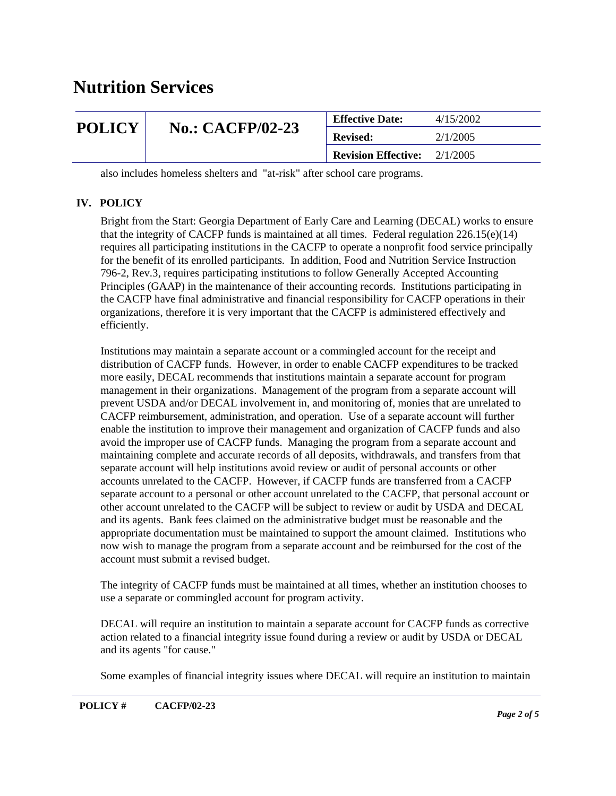| <b>POLICY</b> | <b>No.: CACFP/02-23</b> | <b>Effective Date:</b>     | 4/15/2002 |
|---------------|-------------------------|----------------------------|-----------|
|               |                         | <b>Revised:</b>            | 2/1/2005  |
|               |                         | <b>Revision Effective:</b> | 2/1/2005  |

also includes homeless shelters and "at-risk" after school care programs.

### **IV. POLICY**

Bright from the Start: Georgia Department of Early Care and Learning (DECAL) works to ensure that the integrity of CACFP funds is maintained at all times. Federal regulation  $226.15(e)(14)$ requires all participating institutions in the CACFP to operate a nonprofit food service principally for the benefit of its enrolled participants. In addition, Food and Nutrition Service Instruction 796-2, Rev.3, requires participating institutions to follow Generally Accepted Accounting Principles (GAAP) in the maintenance of their accounting records. Institutions participating in the CACFP have final administrative and financial responsibility for CACFP operations in their organizations, therefore it is very important that the CACFP is administered effectively and efficiently.

Institutions may maintain a separate account or a commingled account for the receipt and distribution of CACFP funds. However, in order to enable CACFP expenditures to be tracked more easily, DECAL recommends that institutions maintain a separate account for program management in their organizations. Management of the program from a separate account will prevent USDA and/or DECAL involvement in, and monitoring of, monies that are unrelated to CACFP reimbursement, administration, and operation. Use of a separate account will further enable the institution to improve their management and organization of CACFP funds and also avoid the improper use of CACFP funds. Managing the program from a separate account and maintaining complete and accurate records of all deposits, withdrawals, and transfers from that separate account will help institutions avoid review or audit of personal accounts or other accounts unrelated to the CACFP. However, if CACFP funds are transferred from a CACFP separate account to a personal or other account unrelated to the CACFP, that personal account or other account unrelated to the CACFP will be subject to review or audit by USDA and DECAL and its agents. Bank fees claimed on the administrative budget must be reasonable and the appropriate documentation must be maintained to support the amount claimed. Institutions who now wish to manage the program from a separate account and be reimbursed for the cost of the account must submit a revised budget.

The integrity of CACFP funds must be maintained at all times, whether an institution chooses to use a separate or commingled account for program activity.

DECAL will require an institution to maintain a separate account for CACFP funds as corrective action related to a financial integrity issue found during a review or audit by USDA or DECAL and its agents "for cause."

Some examples of financial integrity issues where DECAL will require an institution to maintain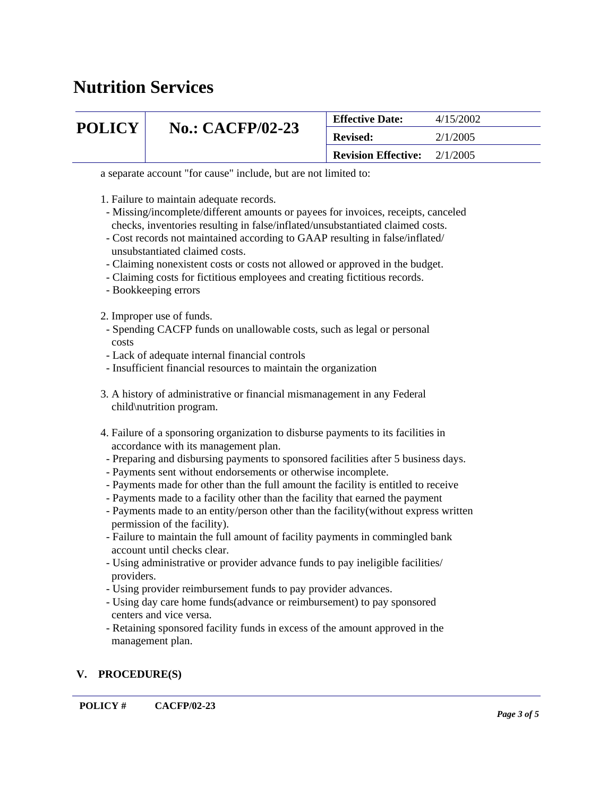# **POLICY | No.: CACFP/02-23**

| <b>Effective Date:</b>                | 4/15/2002 |
|---------------------------------------|-----------|
| <b>Revised:</b>                       | 2/1/2005  |
| <b>Revision Effective:</b> $2/1/2005$ |           |

a separate account "for cause" include, but are not limited to:

- 1. Failure to maintain adequate records.
- Missing/incomplete/different amounts or payees for invoices, receipts, canceled checks, inventories resulting in false/inflated/unsubstantiated claimed costs.
- Cost records not maintained according to GAAP resulting in false/inflated/ unsubstantiated claimed costs.
- Claiming nonexistent costs or costs not allowed or approved in the budget.
- Claiming costs for fictitious employees and creating fictitious records.
- Bookkeeping errors
- 2. Improper use of funds.
- Spending CACFP funds on unallowable costs, such as legal or personal costs
- Lack of adequate internal financial controls
- Insufficient financial resources to maintain the organization
- 3. A history of administrative or financial mismanagement in any Federal child\nutrition program.
- 4. Failure of a sponsoring organization to disburse payments to its facilities in accordance with its management plan.
- Preparing and disbursing payments to sponsored facilities after 5 business days.
- Payments sent without endorsements or otherwise incomplete.
- Payments made for other than the full amount the facility is entitled to receive
- Payments made to a facility other than the facility that earned the payment
- Payments made to an entity/person other than the facility(without express written permission of the facility).
- Failure to maintain the full amount of facility payments in commingled bank account until checks clear.
- Using administrative or provider advance funds to pay ineligible facilities/ providers.
- Using provider reimbursement funds to pay provider advances.
- Using day care home funds(advance or reimbursement) to pay sponsored centers and vice versa.
- Retaining sponsored facility funds in excess of the amount approved in the management plan.

### **V. PROCEDURE(S)**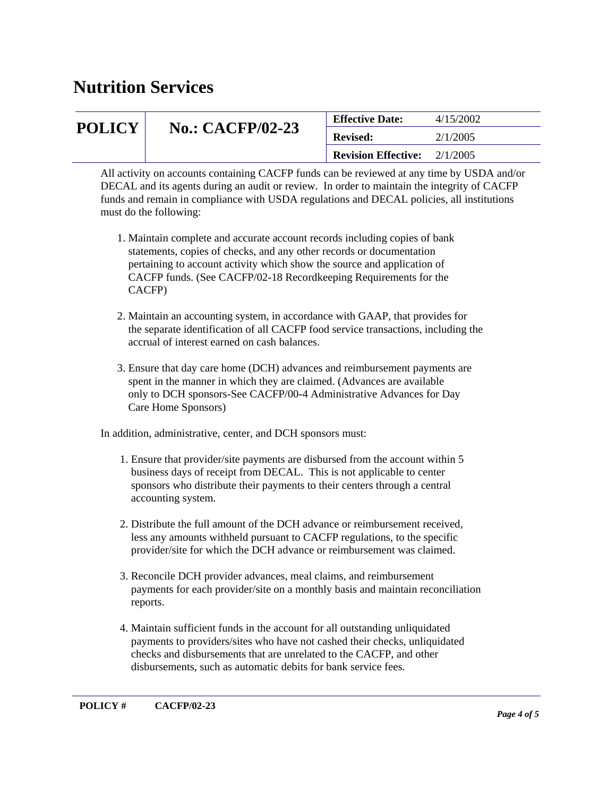| <b>POLICY</b> | <b>No.: CACFP/02-23</b> | <b>Effective Date:</b>     | 4/15/2002 |
|---------------|-------------------------|----------------------------|-----------|
|               |                         | <b>Revised:</b>            | 2/1/2005  |
|               |                         | <b>Revision Effective:</b> | 2/1/2005  |

All activity on accounts containing CACFP funds can be reviewed at any time by USDA and/or DECAL and its agents during an audit or review. In order to maintain the integrity of CACFP funds and remain in compliance with USDA regulations and DECAL policies, all institutions must do the following:

- 1. Maintain complete and accurate account records including copies of bank statements, copies of checks, and any other records or documentation pertaining to account activity which show the source and application of CACFP funds. (See CACFP/02-18 Recordkeeping Requirements for the CACFP)
- 2. Maintain an accounting system, in accordance with GAAP, that provides for the separate identification of all CACFP food service transactions, including the accrual of interest earned on cash balances.
- 3. Ensure that day care home (DCH) advances and reimbursement payments are spent in the manner in which they are claimed. (Advances are available only to DCH sponsors-See CACFP/00-4 Administrative Advances for Day Care Home Sponsors)

In addition, administrative, center, and DCH sponsors must:

- 1. Ensure that provider/site payments are disbursed from the account within 5 business days of receipt from DECAL. This is not applicable to center sponsors who distribute their payments to their centers through a central accounting system.
- 2. Distribute the full amount of the DCH advance or reimbursement received, less any amounts withheld pursuant to CACFP regulations, to the specific provider/site for which the DCH advance or reimbursement was claimed.
- 3. Reconcile DCH provider advances, meal claims, and reimbursement payments for each provider/site on a monthly basis and maintain reconciliation reports.
- 4. Maintain sufficient funds in the account for all outstanding unliquidated payments to providers/sites who have not cashed their checks, unliquidated checks and disbursements that are unrelated to the CACFP, and other disbursements, such as automatic debits for bank service fees.